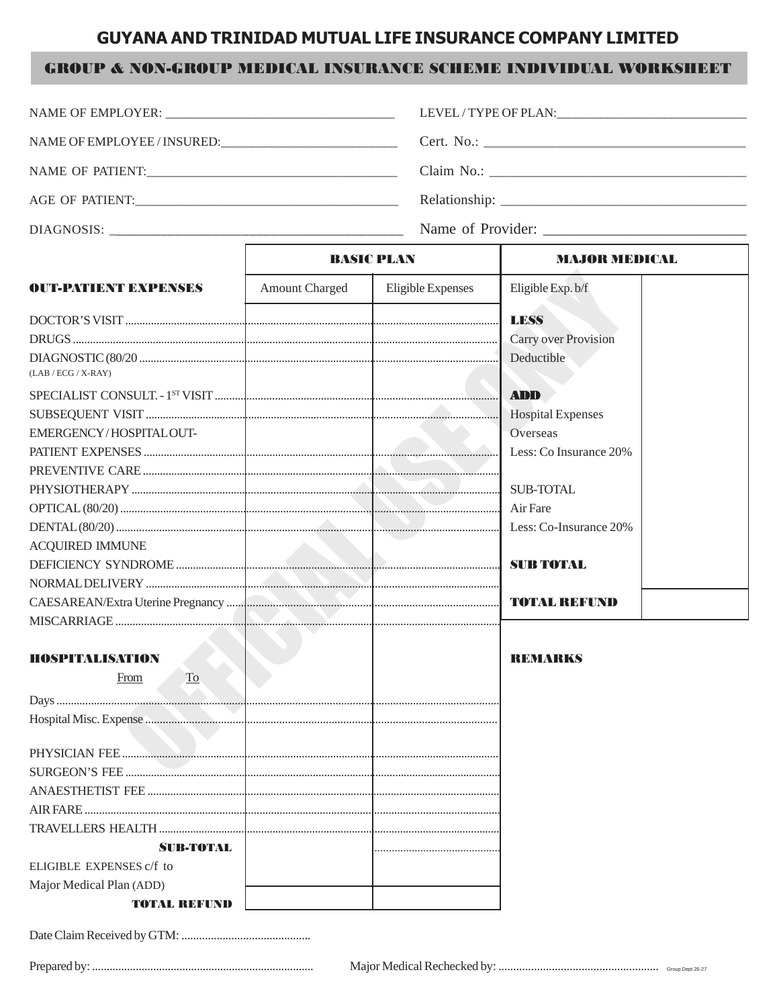## **GUYANA AND TRINIDAD MUTUAL LIFE INSURANCE COMPANY LIMITED**

## **GROUP & NON-GROUP MEDICAL INSURANCE SCHEME INDIVIDUAL WORKSHEET**

|                             |                       |                   | LEVEL/TYPE OF PLAN: University of PLAN |  |  |
|-----------------------------|-----------------------|-------------------|----------------------------------------|--|--|
| NAME OF EMPLOYEE / INSURED: |                       |                   |                                        |  |  |
| NAME OF PATIENT:            |                       |                   |                                        |  |  |
|                             |                       |                   |                                        |  |  |
|                             |                       |                   |                                        |  |  |
|                             | <b>BASIC PLAN</b>     |                   | <b>MAJOR MEDICAL</b>                   |  |  |
| <b>OUT-PATIENT EXPENSES</b> | <b>Amount Charged</b> | Eligible Expenses | Eligible Exp. b/f                      |  |  |
|                             |                       |                   | <b>LESS</b>                            |  |  |

|                                         | <b>Carry over Provision</b> |
|-----------------------------------------|-----------------------------|
| $(LAB / ECG / X-RAY)$                   | Deductible                  |
|                                         | <b>ADD</b>                  |
|                                         | <b>Hospital Expenses</b>    |
| EMERGENCY/HOSPITALOUT-                  | Overseas                    |
|                                         | Less: Co Insurance 20%      |
|                                         |                             |
|                                         | <b>SUB-TOTAL</b>            |
|                                         |                             |
|                                         | Less: Co-Insurance 20%      |
| <b>ACQUIRED IMMUNE</b>                  |                             |
|                                         |                             |
|                                         |                             |
|                                         |                             |
|                                         |                             |
|                                         |                             |
| <b>HOSPITALISATION</b>                  | <b>REMARKS</b>              |
| $\underline{\operatorname{To}}$<br>From |                             |
|                                         |                             |
|                                         |                             |
|                                         |                             |
|                                         |                             |
|                                         |                             |
|                                         |                             |
|                                         |                             |

**SUB-TOTAL** ELIGIBLE EXPENSES c/f to Major Medical Plan (ADD)

**TOTAL REFUND**